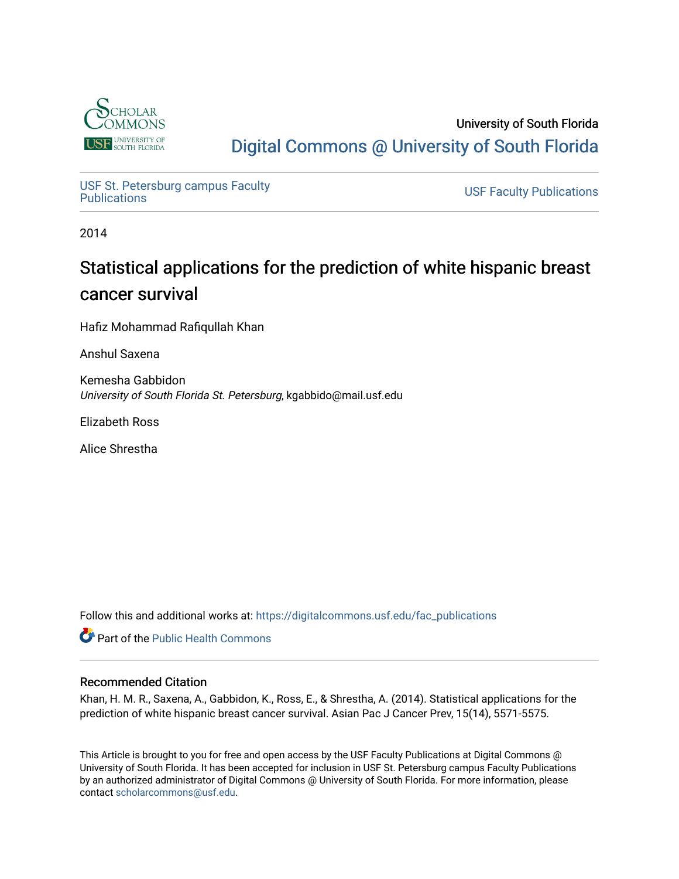

# University of South Florida [Digital Commons @ University of South Florida](https://digitalcommons.usf.edu/)

USF St. Petersburg campus Faculty<br>Publications

**USF Faculty Publications** 

2014

# Statistical applications for the prediction of white hispanic breast cancer survival

Hafiz Mohammad Rafiqullah Khan

Anshul Saxena

Kemesha Gabbidon University of South Florida St. Petersburg, kgabbido@mail.usf.edu

Elizabeth Ross

Alice Shrestha

Follow this and additional works at: [https://digitalcommons.usf.edu/fac\\_publications](https://digitalcommons.usf.edu/fac_publications?utm_source=digitalcommons.usf.edu%2Ffac_publications%2F3766&utm_medium=PDF&utm_campaign=PDFCoverPages)

Part of the [Public Health Commons](http://network.bepress.com/hgg/discipline/738?utm_source=digitalcommons.usf.edu%2Ffac_publications%2F3766&utm_medium=PDF&utm_campaign=PDFCoverPages) 

# Recommended Citation

Khan, H. M. R., Saxena, A., Gabbidon, K., Ross, E., & Shrestha, A. (2014). Statistical applications for the prediction of white hispanic breast cancer survival. Asian Pac J Cancer Prev, 15(14), 5571-5575.

This Article is brought to you for free and open access by the USF Faculty Publications at Digital Commons @ University of South Florida. It has been accepted for inclusion in USF St. Petersburg campus Faculty Publications by an authorized administrator of Digital Commons @ University of South Florida. For more information, please contact [scholarcommons@usf.edu](mailto:scholarcommons@usf.edu).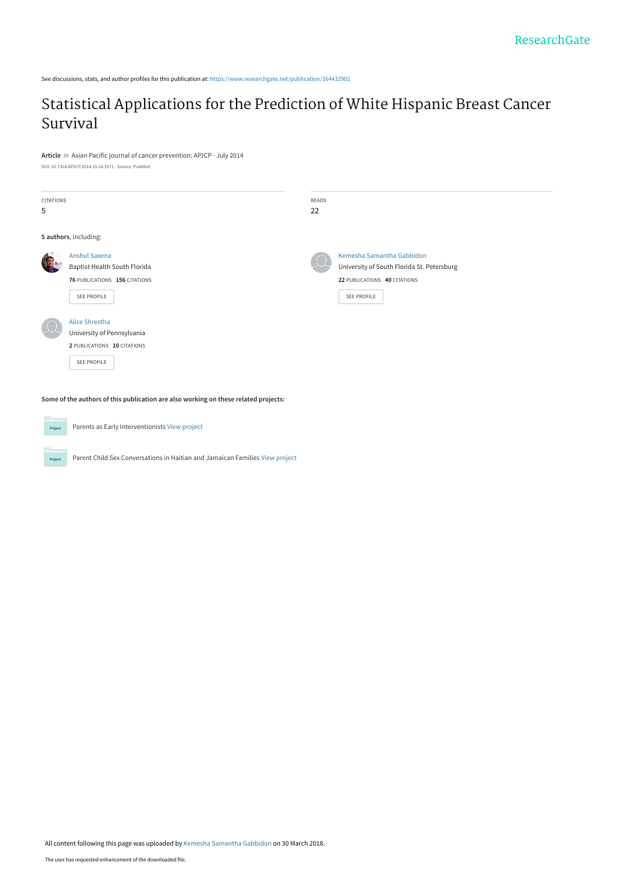See discussions, stats, and author profiles for this publication at: [https://www.researchgate.net/publication/264432902](https://www.researchgate.net/publication/264432902_Statistical_Applications_for_the_Prediction_of_White_Hispanic_Breast_Cancer_Survival?enrichId=rgreq-29d30003213e3cae5c24b94e730859ac-XXX&enrichSource=Y292ZXJQYWdlOzI2NDQzMjkwMjtBUzo2MDk2OTAwODE4MjQ3NjhAMTUyMjM3Mjg1MTY0OA%3D%3D&el=1_x_2&_esc=publicationCoverPdf)

# [Statistical Applications for the Prediction of White Hispanic Breast Cancer](https://www.researchgate.net/publication/264432902_Statistical_Applications_for_the_Prediction_of_White_Hispanic_Breast_Cancer_Survival?enrichId=rgreq-29d30003213e3cae5c24b94e730859ac-XXX&enrichSource=Y292ZXJQYWdlOzI2NDQzMjkwMjtBUzo2MDk2OTAwODE4MjQ3NjhAMTUyMjM3Mjg1MTY0OA%3D%3D&el=1_x_3&_esc=publicationCoverPdf) Survival

**Article** in Asian Pacific journal of cancer prevention: APJCP · July 2014

DOI: 10.7314/APJCP.2014.15.14.5571 · Source: PubMed

| <b>CITATIONS</b><br>5 |                                                                                                      | READS<br>22 |                                                                                                                        |
|-----------------------|------------------------------------------------------------------------------------------------------|-------------|------------------------------------------------------------------------------------------------------------------------|
|                       | 5 authors, including:                                                                                |             |                                                                                                                        |
|                       | <b>Anshul Saxena</b><br>Baptist Health South Florida<br>76 PUBLICATIONS 156 CITATIONS<br>SEE PROFILE |             | Kemesha Samantha Gabbidon<br>University of South Florida St. Petersburg<br>22 PUBLICATIONS 40 CITATIONS<br>SEE PROFILE |
|                       | Alice Shrestha<br>University of Pennsylvania<br>2 PUBLICATIONS 10 CITATIONS<br>SEE PROFILE           |             |                                                                                                                        |

**Some of the authors of this publication are also working on these related projects:**

**Project** Parents as Early Interventionists [View project](https://www.researchgate.net/project/Parents-as-Early-Interventionists?enrichId=rgreq-29d30003213e3cae5c24b94e730859ac-XXX&enrichSource=Y292ZXJQYWdlOzI2NDQzMjkwMjtBUzo2MDk2OTAwODE4MjQ3NjhAMTUyMjM3Mjg1MTY0OA%3D%3D&el=1_x_9&_esc=publicationCoverPdf) Parent Child Sex Conversations in Haitian and Jamaican Families [View project](https://www.researchgate.net/project/Parent-Child-Sex-Conversations-in-Haitian-and-Jamaican-Families?enrichId=rgreq-29d30003213e3cae5c24b94e730859ac-XXX&enrichSource=Y292ZXJQYWdlOzI2NDQzMjkwMjtBUzo2MDk2OTAwODE4MjQ3NjhAMTUyMjM3Mjg1MTY0OA%3D%3D&el=1_x_9&_esc=publicationCoverPdf) **Project** 

All content following this page was uploaded by [Kemesha Samantha Gabbidon](https://www.researchgate.net/profile/Kemesha_Gabbidon?enrichId=rgreq-29d30003213e3cae5c24b94e730859ac-XXX&enrichSource=Y292ZXJQYWdlOzI2NDQzMjkwMjtBUzo2MDk2OTAwODE4MjQ3NjhAMTUyMjM3Mjg1MTY0OA%3D%3D&el=1_x_10&_esc=publicationCoverPdf) on 30 March 2018.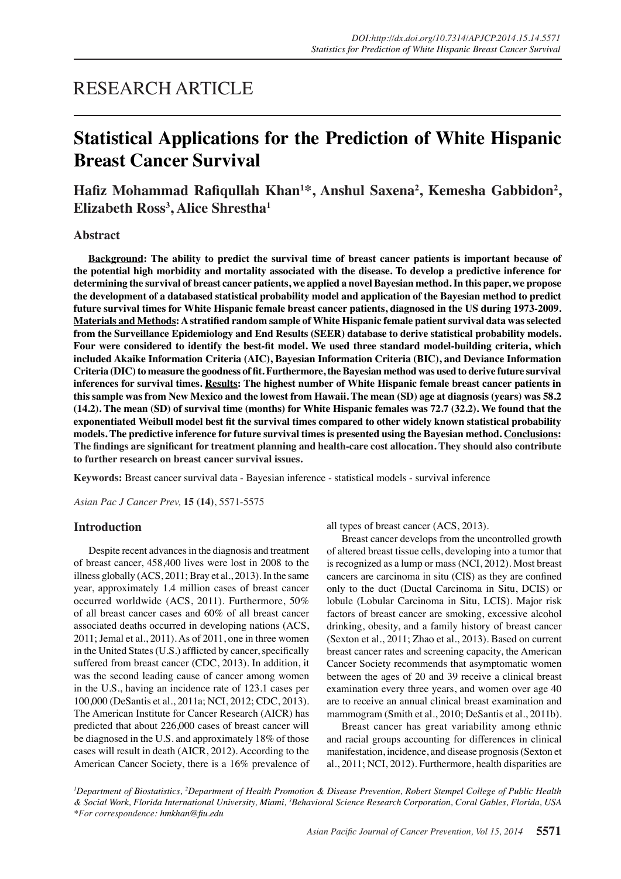# RESEARCH ARTICLE

# **Statistical Applications for the Prediction of White Hispanic Breast Cancer Survival**

Hafiz Mohammad Rafiqullah Khan<sup>1\*</sup>, Anshul Saxena<sup>2</sup>, Kemesha Gabbidon<sup>2</sup>, **Elizabeth Ross<sup>3</sup> , Alice Shrestha1**

## **Abstract**

**Background: The ability to predict the survival time of breast cancer patients is important because of the potential high morbidity and mortality associated with the disease. To develop a predictive inference for determining the survival of breast cancer patients, we applied a novel Bayesian method. In this paper, we propose the development of a databased statistical probability model and application of the Bayesian method to predict future survival times for White Hispanic female breast cancer patients, diagnosed in the US during 1973-2009. Materials and Methods: A stratified random sample of White Hispanic female patient survival data was selected from the Surveillance Epidemiology and End Results (SEER) database to derive statistical probability models. Four were considered to identify the best-fit model. We used three standard model-building criteria, which included Akaike Information Criteria (AIC), Bayesian Information Criteria (BIC), and Deviance Information Criteria (DIC) to measure the goodness of fit. Furthermore, the Bayesian method was used to derive future survival inferences for survival times. Results: The highest number of White Hispanic female breast cancer patients in this sample was from New Mexico and the lowest from Hawaii. The mean (SD) age at diagnosis (years) was 58.2 (14.2). The mean (SD) of survival time (months) for White Hispanic females was 72.7 (32.2). We found that the exponentiated Weibull model best fit the survival times compared to other widely known statistical probability models. The predictive inference for future survival times is presented using the Bayesian method. Conclusions: The findings are significant for treatment planning and health-care cost allocation. They should also contribute to further research on breast cancer survival issues.**

**Keywords:** Breast cancer survival data - Bayesian inference - statistical models - survival inference

*Asian Pac J Cancer Prev,* **15 (14)**, 5571-5575

#### **Introduction**

Despite recent advances in the diagnosis and treatment of breast cancer, 458,400 lives were lost in 2008 to the illness globally (ACS, 2011; Bray et al., 2013). In the same year, approximately 1.4 million cases of breast cancer occurred worldwide (ACS, 2011). Furthermore, 50% of all breast cancer cases and 60% of all breast cancer associated deaths occurred in developing nations (ACS, 2011; Jemal et al., 2011). As of 2011, one in three women in the United States (U.S.) afflicted by cancer, specifically suffered from breast cancer (CDC, 2013). In addition, it was the second leading cause of cancer among women in the U.S., having an incidence rate of 123.1 cases per 100,000 (DeSantis et al., 2011a; NCI, 2012; CDC, 2013). The American Institute for Cancer Research (AICR) has predicted that about 226,000 cases of breast cancer will be diagnosed in the U.S. and approximately 18% of those cases will result in death (AICR, 2012). According to the American Cancer Society, there is a 16% prevalence of all types of breast cancer (ACS, 2013).

Breast cancer develops from the uncontrolled growth of altered breast tissue cells, developing into a tumor that is recognized as a lump or mass (NCI, 2012). Most breast cancers are carcinoma in situ (CIS) as they are confined only to the duct (Ductal Carcinoma in Situ, DCIS) or lobule (Lobular Carcinoma in Situ, LCIS). Major risk factors of breast cancer are smoking, excessive alcohol drinking, obesity, and a family history of breast cancer (Sexton et al., 2011; Zhao et al., 2013). Based on current breast cancer rates and screening capacity, the American Cancer Society recommends that asymptomatic women between the ages of 20 and 39 receive a clinical breast examination every three years, and women over age 40 are to receive an annual clinical breast examination and mammogram (Smith et al., 2010; DeSantis et al., 2011b).

Breast cancer has great variability among ethnic and racial groups accounting for differences in clinical manifestation, incidence, and disease prognosis (Sexton et al., 2011; NCI, 2012). Furthermore, health disparities are

*1 Department of Biostatistics, 2 Department of Health Promotion & Disease Prevention, Robert Stempel College of Public Health & Social Work, Florida International University, Miami, 3 Behavioral Science Research Corporation, Coral Gables, Florida, USA \*For correspondence: hmkhan@fiu.edu*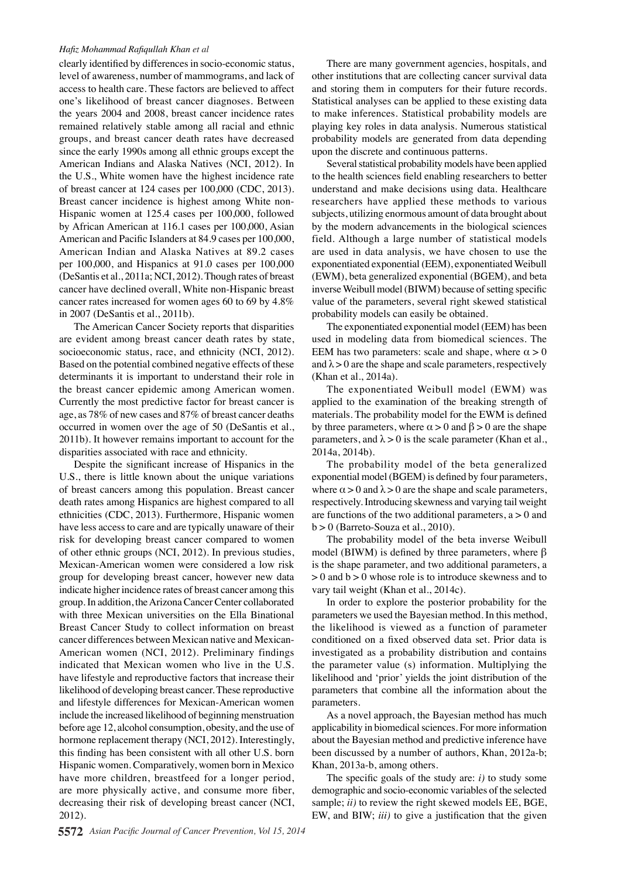#### *Hafiz Mohammad Rafiqullah Khan et al*

clearly identified by differences in socio-economic status, level of awareness, number of mammograms, and lack of access to health care. These factors are believed to affect one's likelihood of breast cancer diagnoses. Between the years 2004 and 2008, breast cancer incidence rates remained relatively stable among all racial and ethnic groups, and breast cancer death rates have decreased since the early 1990s among all ethnic groups except the American Indians and Alaska Natives (NCI, 2012). In the U.S., White women have the highest incidence rate of breast cancer at 124 cases per 100,000 (CDC, 2013). Breast cancer incidence is highest among White non-Hispanic women at 125.4 cases per 100,000, followed by African American at 116.1 cases per 100,000, Asian American and Pacific Islanders at 84.9 cases per 100,000, American Indian and Alaska Natives at 89.2 cases per 100,000, and Hispanics at 91.0 cases per 100,000 (DeSantis et al., 2011a; NCI, 2012). Though rates of breast cancer have declined overall, White non-Hispanic breast cancer rates increased for women ages 60 to 69 by 4.8% in 2007 (DeSantis et al., 2011b).

The American Cancer Society reports that disparities are evident among breast cancer death rates by state, socioeconomic status, race, and ethnicity (NCI, 2012). Based on the potential combined negative effects of these determinants it is important to understand their role in the breast cancer epidemic among American women. Currently the most predictive factor for breast cancer is age, as 78% of new cases and 87% of breast cancer deaths occurred in women over the age of 50 (DeSantis et al., 2011b). It however remains important to account for the disparities associated with race and ethnicity.

Despite the significant increase of Hispanics in the U.S., there is little known about the unique variations of breast cancers among this population. Breast cancer death rates among Hispanics are highest compared to all ethnicities (CDC, 2013). Furthermore, Hispanic women have less access to care and are typically unaware of their risk for developing breast cancer compared to women of other ethnic groups (NCI, 2012). In previous studies, Mexican-American women were considered a low risk group for developing breast cancer, however new data indicate higher incidence rates of breast cancer among this group. In addition, the Arizona Cancer Center collaborated with three Mexican universities on the Ella Binational Breast Cancer Study to collect information on breast cancer differences between Mexican native and Mexican-American women (NCI, 2012). Preliminary findings indicated that Mexican women who live in the U.S. have lifestyle and reproductive factors that increase their likelihood of developing breast cancer. These reproductive and lifestyle differences for Mexican-American women include the increased likelihood of beginning menstruation before age 12, alcohol consumption, obesity, and the use of hormone replacement therapy (NCI, 2012). Interestingly, this finding has been consistent with all other U.S. born Hispanic women. Comparatively, women born in Mexico have more children, breastfeed for a longer period, are more physically active, and consume more fiber, decreasing their risk of developing breast cancer (NCI, 2012).

There are many government agencies, hospitals, and other institutions that are collecting cancer survival data and storing them in computers for their future records. Statistical analyses can be applied to these existing data to make inferences. Statistical probability models are playing key roles in data analysis. Numerous statistical probability models are generated from data depending upon the discrete and continuous patterns.

Several statistical probability models have been applied to the health sciences field enabling researchers to better understand and make decisions using data. Healthcare researchers have applied these methods to various subjects, utilizing enormous amount of data brought about by the modern advancements in the biological sciences field. Although a large number of statistical models are used in data analysis, we have chosen to use the exponentiated exponential (EEM), exponentiated Weibull (EWM), beta generalized exponential (BGEM), and beta inverse Weibull model (BIWM) because of setting specific value of the parameters, several right skewed statistical probability models can easily be obtained.

The exponentiated exponential model (EEM) has been used in modeling data from biomedical sciences. The EEM has two parameters: scale and shape, where  $\alpha > 0$ and  $\lambda > 0$  are the shape and scale parameters, respectively (Khan et al., 2014a).

The exponentiated Weibull model (EWM) was applied to the examination of the breaking strength of materials. The probability model for the EWM is defined by three parameters, where  $\alpha > 0$  and  $\beta > 0$  are the shape parameters, and  $\lambda > 0$  is the scale parameter (Khan et al., 2014a, 2014b).

The probability model of the beta generalized exponential model (BGEM) is defined by four parameters, where  $\alpha > 0$  and  $\lambda > 0$  are the shape and scale parameters, respectively. Introducing skewness and varying tail weight are functions of the two additional parameters,  $a > 0$  and  $b > 0$  (Barreto-Souza et al., 2010).

The probability model of the beta inverse Weibull model (BIWM) is defined by three parameters, where β is the shape parameter, and two additional parameters, a  $> 0$  and  $b > 0$  whose role is to introduce skewness and to vary tail weight (Khan et al., 2014c).

In order to explore the posterior probability for the parameters we used the Bayesian method. In this method, the likelihood is viewed as a function of parameter conditioned on a fixed observed data set. Prior data is investigated as a probability distribution and contains the parameter value (s) information. Multiplying the likelihood and 'prior' yields the joint distribution of the parameters that combine all the information about the parameters.

As a novel approach, the Bayesian method has much applicability in biomedical sciences. For more information about the Bayesian method and predictive inference have been discussed by a number of authors, Khan, 2012a-b; Khan, 2013a-b, among others.

The specific goals of the study are: *i)* to study some demographic and socio-economic variables of the selected sample; *ii)* to review the right skewed models EE, BGE, EW, and BIW; *iii)* to give a justification that the given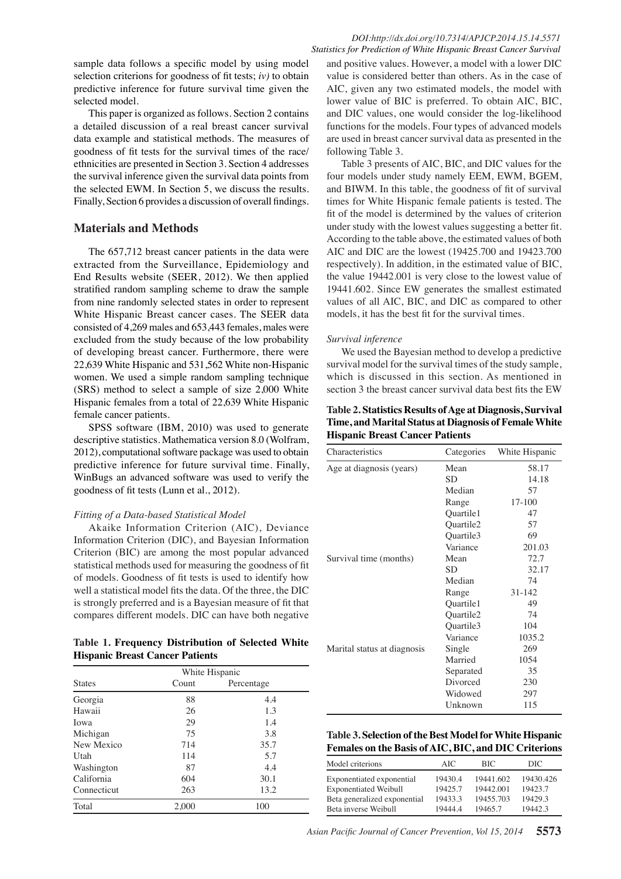sample data follows a specific model by using model selection criterions for goodness of fit tests; *iv)* to obtain predictive inference for future survival time given the selected model.

This paper is organized as follows. Section 2 contains a detailed discussion of a real breast cancer survival data example and statistical methods. The measures of goodness of fit tests for the survival times of the race/ ethnicities are presented in Section 3. Section 4 addresses the survival inference given the survival data points from the selected EWM. In Section 5, we discuss the results. Finally, Section 6 provides a discussion of overall findings.

# **Materials and Methods**

The 657,712 breast cancer patients in the data were extracted from the Surveillance, Epidemiology and End Results website (SEER, 2012). We then applied stratified random sampling scheme to draw the sample from nine randomly selected states in order to represent White Hispanic Breast cancer cases. The SEER data consisted of 4,269 males and 653,443 females, males were excluded from the study because of the low probability of developing breast cancer. Furthermore, there were 22,639 White Hispanic and 531,562 White non-Hispanic women. We used a simple random sampling technique (SRS) method to select a sample of size 2,000 White Hispanic females from a total of 22,639 White Hispanic female cancer patients.

SPSS software (IBM, 2010) was used to generate descriptive statistics. Mathematica version 8.0 (Wolfram, 2012), computational software package was used to obtain predictive inference for future survival time. Finally, WinBugs an advanced software was used to verify the goodness of fit tests (Lunn et al., 2012).

## *Fitting of a Data-based Statistical Model*

Akaike Information Criterion (AIC), Deviance Information Criterion (DIC), and Bayesian Information Criterion (BIC) are among the most popular advanced statistical methods used for measuring the goodness of fit of models. Goodness of fit tests is used to identify how well a statistical model fits the data. Of the three, the DIC is strongly preferred and is a Bayesian measure of fit that compares different models. DIC can have both negative

### **Table 1. Frequency Distribution of Selected White Hispanic Breast Cancer Patients**

|               | White Hispanic |            |  |
|---------------|----------------|------------|--|
| <b>States</b> | Count          | Percentage |  |
| Georgia       | 88             | 4.4        |  |
| Hawaii        | 26             | 1.3        |  |
| Iowa          | 29             | 1.4        |  |
| Michigan      | 75             | 3.8        |  |
| New Mexico    | 714            | 35.7       |  |
| Utah          | 114            | 5.7        |  |
| Washington    | 87             | 4.4        |  |
| California    | 604            | 30.1       |  |
| Connecticut   | 263            | 13.2       |  |
| Total         | 2,000          | 100        |  |

and positive values. However, a model with a lower DIC value is considered better than others. As in the case of AIC, given any two estimated models, the model with lower value of BIC is preferred. To obtain AIC, BIC, and DIC values, one would consider the log-likelihood functions for the models. Four types of advanced models are used in breast cancer survival data as presented in the following Table 3.

Table 3 presents of AIC, BIC, and DIC values for the four models under study namely EEM, EWM, BGEM, and BIWM. In this table, the goodness of fit of survival times for White Hispanic female patients is tested. The fit of the model is determined by the values of criterion under study with the lowest values suggesting a better fit. According to the table above, the estimated values of both AIC and DIC are the lowest (19425.700 and 19423.700 respectively). In addition, in the estimated value of BIC, the value 19442.001 is very close to the lowest value of 19441.602. Since EW generates the smallest estimated values of all AIC, BIC, and DIC as compared to other models, it has the best fit for the survival times.

#### *Survival inference*

We used the Bayesian method to develop a predictive survival model for the survival times of the study sample, which is discussed in this section. As mentioned in section 3 the breast cancer survival data best fits the EW

| Table 2. Statistics Results of Age at Diagnosis, Survival |
|-----------------------------------------------------------|
| Time, and Marital Status at Diagnosis of Female White     |
| <b>Hispanic Breast Cancer Patients</b>                    |

| Characteristics             | Categories | White Hispanic |
|-----------------------------|------------|----------------|
| Age at diagnosis (years)    | Mean       | 58.17          |
|                             | <b>SD</b>  | 14.18          |
|                             | Median     | 57             |
|                             | Range      | 17-100         |
|                             | Quartile1  | 47             |
|                             | Ouartile2  | 57             |
|                             | Quartile3  | 69             |
|                             | Variance   | 201.03         |
| Survival time (months)      | Mean       | 72.7           |
|                             | <b>SD</b>  | 32.17          |
|                             | Median     | 74             |
|                             | Range      | $31 - 142$     |
|                             | Quartile1  | 49             |
|                             | Quartile2  | 74             |
|                             | Quartile3  | 104            |
|                             | Variance   | 1035.2         |
| Marital status at diagnosis | Single     | 269            |
|                             | Married    | 1054           |
|                             | Separated  | 35             |
|                             | Divorced   | 230            |
|                             | Widowed    | 297            |
|                             | Unknown    | 115            |
|                             |            |                |

| Table 3. Selection of the Best Model for White Hispanic |
|---------------------------------------------------------|
| Females on the Basis of AIC, BIC, and DIC Criterions    |

| Model criterions             | AIC.    | <b>BIC</b> | DIC.      |
|------------------------------|---------|------------|-----------|
| Exponentiated exponential    | 19430.4 | 19441.602  | 19430.426 |
| <b>Exponentiated Weibull</b> | 19425.7 | 19442.001  | 19423.7   |
| Beta generalized exponential | 19433.3 | 19455.703  | 19429.3   |
| Beta inverse Weibull         | 19444.4 | 19465.7    | 19442.3   |

*Asian Pacific Journal of Cancer Prevention, Vol 15, 2014* **5573**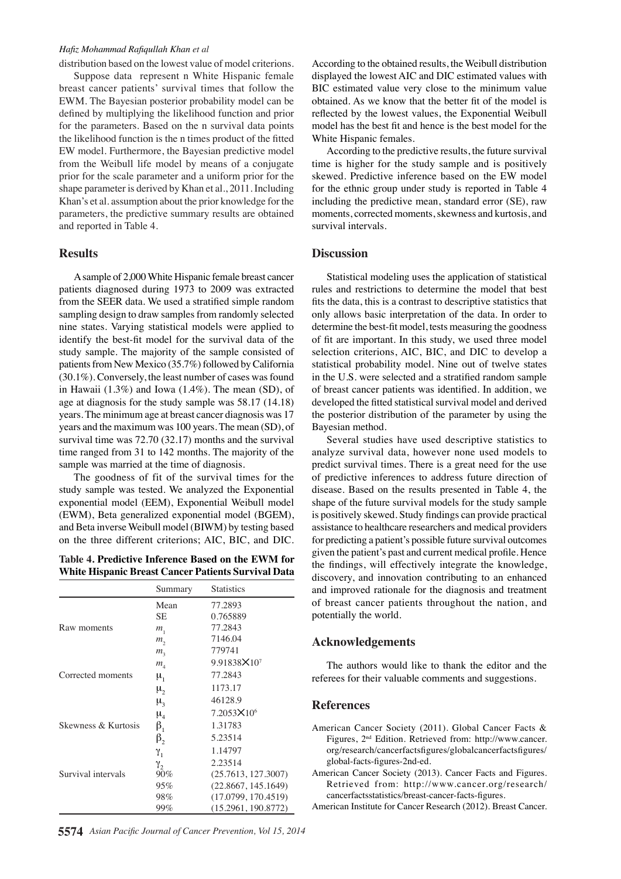#### *Hafiz Mohammad Rafiqullah Khan et al*

distribution based on the lowest value of model criterions.

Suppose data represent n White Hispanic female breast cancer patients' survival times that follow the EWM. The Bayesian posterior probability model can be defined by multiplying the likelihood function and prior for the parameters. Based on the n survival data points the likelihood function is the n times product of the fitted EW model. Furthermore, the Bayesian predictive model from the Weibull life model by means of a conjugate prior for the scale parameter and a uniform prior for the shape parameter is derived by Khan et al., 2011. Including Khan's et al. assumption about the prior knowledge for the parameters, the predictive summary results are obtained and reported in Table 4.

#### **Results**

A sample of 2,000 White Hispanic female breast cancer patients diagnosed during 1973 to 2009 was extracted from the SEER data. We used a stratified simple random sampling design to draw samples from randomly selected nine states. Varying statistical models were applied to identify the best-fit model for the survival data of the study sample. The majority of the sample consisted of patients from New Mexico (35.7%) followed by California (30.1%). Conversely, the least number of cases was found in Hawaii (1.3%) and Iowa (1.4%). The mean (SD), of age at diagnosis for the study sample was 58.17 (14.18) years. The minimum age at breast cancer diagnosis was 17 years and the maximum was 100 years. The mean (SD), of survival time was 72.70 (32.17) months and the survival time ranged from 31 to 142 months. The majority of the sample was married at the time of diagnosis.

The goodness of fit of the survival times for the study sample was tested. We analyzed the Exponential exponential model (EEM), Exponential Weibull model (EWM), Beta generalized exponential model (BGEM), and Beta inverse Weibull model (BIWM) by testing based on the three different criterions; AIC, BIC, and DIC.

# **Table 4. Predictive Inference Based on the EWM for White Hispanic Breast Cancer Patients Survival Data**

|                     | Summary                       | <b>Statistics</b>      |
|---------------------|-------------------------------|------------------------|
|                     | Mean                          | 77.2893                |
|                     | SЕ                            | 0.765889               |
| Raw moments         | $m_{1}$                       | 77.2843                |
|                     | m <sub>2</sub>                | 7146.04                |
|                     | m <sub>3</sub>                | 779741                 |
|                     | $m_{\scriptscriptstyle A}$    | 9.91838×107            |
| Corrected moments   | $\mu_{1}$                     | 77.2843                |
|                     | μ,                            | 1173.17                |
|                     | $\mu_{\alpha}$                | 46128.9                |
|                     | $\mu_{\scriptscriptstyle{A}}$ | $7.2053 \times 10^{6}$ |
| Skewness & Kurtosis | $\beta_{1}$                   | 1.31783                |
|                     | $\beta$ ,                     | 5.23514                |
|                     | γ,                            | 1.14797                |
|                     | Y,                            | 2.23514                |
| Survival intervals  | 90%                           | (25.7613, 127.3007)    |
|                     | 95%                           | (22.8667, 145.1649)    |
|                     | 98%                           | (17.0799, 170.4519)    |
|                     | 99%                           | (15.2961, 190.8772)    |

According to the obtained results, the Weibull distribution displayed the lowest AIC and DIC estimated values with BIC estimated value very close to the minimum value obtained. As we know that the better fit of the model is reflected by the lowest values, the Exponential Weibull model has the best fit and hence is the best model for the White Hispanic females.

According to the predictive results, the future survival time is higher for the study sample and is positively skewed. Predictive inference based on the EW model for the ethnic group under study is reported in Table 4 including the predictive mean, standard error (SE), raw moments, corrected moments, skewness and kurtosis, and survival intervals.

### **Discussion**

Statistical modeling uses the application of statistical rules and restrictions to determine the model that best fits the data, this is a contrast to descriptive statistics that only allows basic interpretation of the data. In order to determine the best-fit model, tests measuring the goodness of fit are important. In this study, we used three model selection criterions, AIC, BIC, and DIC to develop a statistical probability model. Nine out of twelve states in the U.S. were selected and a stratified random sample of breast cancer patients was identified. In addition, we developed the fitted statistical survival model and derived the posterior distribution of the parameter by using the Bayesian method.

Several studies have used descriptive statistics to analyze survival data, however none used models to predict survival times. There is a great need for the use of predictive inferences to address future direction of disease. Based on the results presented in Table 4, the shape of the future survival models for the study sample is positively skewed. Study findings can provide practical assistance to healthcare researchers and medical providers for predicting a patient's possible future survival outcomes given the patient's past and current medical profile. Hence the findings, will effectively integrate the knowledge, discovery, and innovation contributing to an enhanced and improved rationale for the diagnosis and treatment of breast cancer patients throughout the nation, and potentially the world.

### **Acknowledgements**

The authors would like to thank the editor and the referees for their valuable comments and suggestions.

### **References**

American Cancer Society (2011). Global Cancer Facts & Figures, 2nd Edition. Retrieved from: http://www.cancer. org/research/cancerfactsfigures/globalcancerfactsfigures/ global-facts-figures-2nd-ed.

American Cancer Society (2013). Cancer Facts and Figures. Retrieved from: http://www.cancer.org/research/ cancerfactsstatistics/breast-cancer-facts-figures.

American Institute for Cancer Research (2012). Breast Cancer.